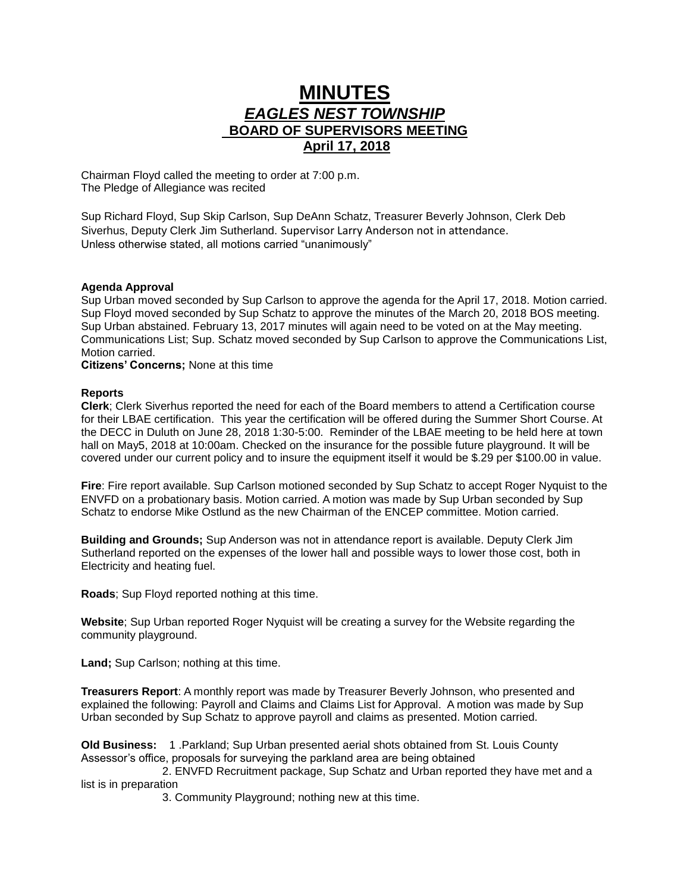## **MINUTES** *EAGLES NEST TOWNSHIP*  **BOARD OF SUPERVISORS MEETING April 17, 2018**

Chairman Floyd called the meeting to order at 7:00 p.m. The Pledge of Allegiance was recited

Sup Richard Floyd, Sup Skip Carlson, Sup DeAnn Schatz, Treasurer Beverly Johnson, Clerk Deb Siverhus, Deputy Clerk Jim Sutherland. Supervisor Larry Anderson not in attendance. Unless otherwise stated, all motions carried "unanimously"

## **Agenda Approval**

Sup Urban moved seconded by Sup Carlson to approve the agenda for the April 17, 2018. Motion carried. Sup Floyd moved seconded by Sup Schatz to approve the minutes of the March 20, 2018 BOS meeting. Sup Urban abstained. February 13, 2017 minutes will again need to be voted on at the May meeting. Communications List; Sup. Schatz moved seconded by Sup Carlson to approve the Communications List, Motion carried.

**Citizens' Concerns;** None at this time

## **Reports**

**Clerk**; Clerk Siverhus reported the need for each of the Board members to attend a Certification course for their LBAE certification. This year the certification will be offered during the Summer Short Course. At the DECC in Duluth on June 28, 2018 1:30-5:00. Reminder of the LBAE meeting to be held here at town hall on May5, 2018 at 10:00am. Checked on the insurance for the possible future playground. It will be covered under our current policy and to insure the equipment itself it would be \$.29 per \$100.00 in value.

**Fire**: Fire report available. Sup Carlson motioned seconded by Sup Schatz to accept Roger Nyquist to the ENVFD on a probationary basis. Motion carried. A motion was made by Sup Urban seconded by Sup Schatz to endorse Mike Ostlund as the new Chairman of the ENCEP committee. Motion carried.

**Building and Grounds;** Sup Anderson was not in attendance report is available. Deputy Clerk Jim Sutherland reported on the expenses of the lower hall and possible ways to lower those cost, both in Electricity and heating fuel.

**Roads**; Sup Floyd reported nothing at this time.

**Website**; Sup Urban reported Roger Nyquist will be creating a survey for the Website regarding the community playground.

Land; Sup Carlson; nothing at this time.

**Treasurers Report**: A monthly report was made by Treasurer Beverly Johnson, who presented and explained the following: Payroll and Claims and Claims List for Approval. A motion was made by Sup Urban seconded by Sup Schatz to approve payroll and claims as presented. Motion carried.

**Old Business:** 1 .Parkland; Sup Urban presented aerial shots obtained from St. Louis County Assessor's office, proposals for surveying the parkland area are being obtained

 2. ENVFD Recruitment package, Sup Schatz and Urban reported they have met and a list is in preparation

3. Community Playground; nothing new at this time.